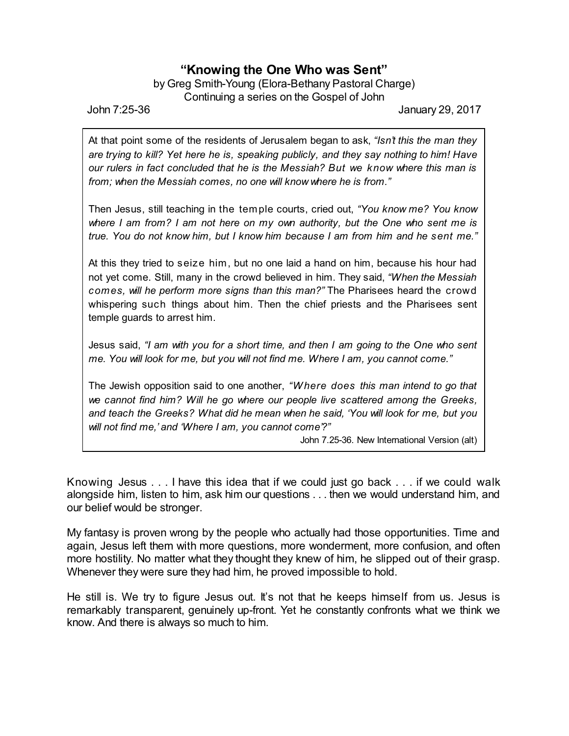## **"Knowing the One Who was Sent"**

by Greg Smith-Young (Elora-Bethany Pastoral Charge) Continuing a series on the Gospel of John

John 7:25-36 January 29, 2017

At that point some of the residents of Jerusalem began to ask, *"Isn't this the man they are trying to kill? Yet here he is, speaking publicly, and they say nothing to him! Have our rulers in fact concluded that he is the Messiah? But we know where this man is from; when the Messiah comes, no one will know where he is from."*

Then Jesus, still teaching in the temple courts, cried out, *"You know me? You know where I am from? I am not here on my own authority, but the One who sent me is true. You do not know him, but I know him because I am from him and he sent me."*

At this they tried to seize him, but no one laid a hand on him, because his hour had not yet come. Still, many in the crowd believed in him. They said, *"When the Messiah comes, will he perform more signs than this man?"* The Pharisees heard the crowd whispering such things about him. Then the chief priests and the Pharisees sent temple guards to arrest him.

Jesus said, *"I am with you for a short time, and then I am going to the One who sent me. You will look for me, but you will not find me. Where I am, you cannot come."*

The Jewish opposition said to one another, *"Where does this man intend to go that we cannot find him? Will he go where our people live scattered among the Greeks, and teach the Greeks? What did he mean when he said, 'You will look for me, but you will not find me,' and 'Where I am, you cannot come'?"*

John 7.25-36. New International Version (alt)

Knowing Jesus . . . I have this idea that if we could just go back . . . if we could walk alongside him, listen to him, ask him our questions . . . then we would understand him, and our belief would be stronger.

My fantasy is proven wrong by the people who actually had those opportunities. Time and again, Jesus left them with more questions, more wonderment, more confusion, and often more hostility. No matter what they thought they knew of him, he slipped out of their grasp. Whenever they were sure they had him, he proved impossible to hold.

He still is. We try to figure Jesus out. It's not that he keeps himself from us. Jesus is remarkably transparent, genuinely up-front. Yet he constantly confronts what we think we know. And there is always so much to him.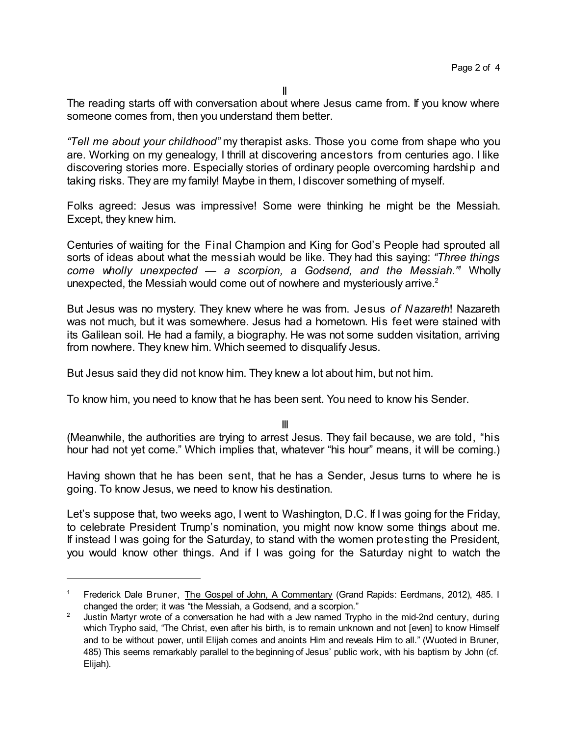II

The reading starts off with conversation about where Jesus came from. If you know where someone comes from, then you understand them better.

*"Tell me about your childhood"* my therapist asks. Those you come from shape who you are. Working on my genealogy, I thrill at discovering ancestors from centuries ago. I like discovering stories more. Especially stories of ordinary people overcoming hardship and taking risks. They are my family! Maybe in them, I discover something of myself.

Folks agreed: Jesus was impressive! Some were thinking he might be the Messiah. Except, they knew him.

Centuries of waiting for the Final Champion and King for God's People had sprouted all sorts of ideas about what the messiah would be like. They had this saying: *"Three things come wholly unexpected — a scorpion, a Godsend, and the Messiah." <sup>1</sup>* Wholly unexpected, the Messiah would come out of nowhere and mysteriously arrive.<sup>2</sup>

But Jesus was no mystery. They knew where he was from. Jesus *of Nazareth*! Nazareth was not much, but it was somewhere. Jesus had a hometown. His feet were stained with its Galilean soil. He had a family, a biography. He was not some sudden visitation, arriving from nowhere. They knew him. Which seemed to disqualify Jesus.

But Jesus said they did not know him. They knew a lot about him, but not him.

To know him, you need to know that he has been sent. You need to know his Sender.

III

(Meanwhile, the authorities are trying to arrest Jesus. They fail because, we are told, "his hour had not yet come." Which implies that, whatever "his hour" means, it will be coming.)

Having shown that he has been sent, that he has a Sender, Jesus turns to where he is going. To know Jesus, we need to know his destination.

Let's suppose that, two weeks ago, I went to Washington, D.C. If I was going for the Friday, to celebrate President Trump's nomination, you might now know some things about me. If instead I was going for the Saturday, to stand with the women protesting the President, you would know other things. And if I was going for the Saturday night to watch the

Frederick Dale Bruner, The Gospel of John, A Commentary (Grand Rapids: Eerdmans, 2012), 485. I changed the order; it was "the Messiah, a Godsend, and a scorpion."

<sup>&</sup>lt;sup>2</sup> Justin Martyr wrote of a conversation he had with a Jew named Trypho in the mid-2nd century, during which Trypho said, "The Christ, even after his birth, is to remain unknown and not [even] to know Himself and to be without power, until Elijah comes and anoints Him and reveals Him to all." (Wuoted in Bruner, 485) This seems remarkably parallel to the beginning of Jesus' public work, with his baptism by John (cf. Elijah).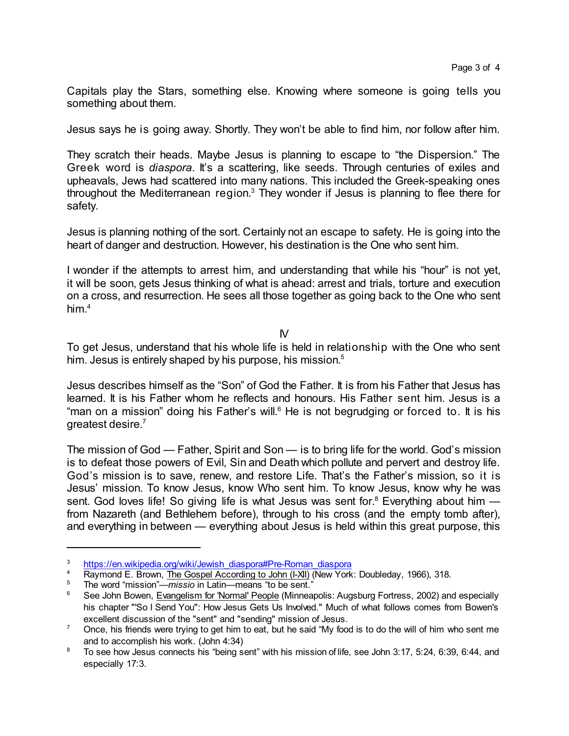Capitals play the Stars, something else. Knowing where someone is going tells you something about them.

Jesus says he is going away. Shortly. They won't be able to find him, nor follow after him.

They scratch their heads. Maybe Jesus is planning to escape to "the Dispersion." The Greek word is *diaspora*. It's a scattering, like seeds. Through centuries of exiles and upheavals, Jews had scattered into many nations. This included the Greek-speaking ones throughout the Mediterranean region.<sup>3</sup> They wonder if Jesus is planning to flee there for safety.

Jesus is planning nothing of the sort. Certainly not an escape to safety. He is going into the heart of danger and destruction. However, his destination is the One who sent him.

I wonder if the attempts to arrest him, and understanding that while his "hour" is not yet, it will be soon, gets Jesus thinking of what is ahead: arrest and trials, torture and execution on a cross, and resurrection. He sees all those together as going back to the One who sent him. 4

 $\mathsf{N}$ 

To get Jesus, understand that his whole life is held in relationship with the One who sent him. Jesus is entirely shaped by his purpose, his mission. 5

Jesus describes himself as the "Son" of God the Father. It is from his Father that Jesus has learned. It is his Father whom he reflects and honours. His Father sent him. Jesus is a "man on a mission" doing his Father's will.<sup>6</sup> He is not begrudging or forced to. It is his greatest desire.<sup>7</sup>

The mission of God — Father, Spirit and Son — is to bring life for the world. God's mission is to defeat those powers of Evil, Sin and Death which pollute and pervert and destroy life. God's mission is to save, renew, and restore Life. That's the Father's mission, so it is Jesus' mission. To know Jesus, know Who sent him. To know Jesus, know why he was sent. God loves life! So giving life is what Jesus was sent for.<sup>8</sup> Everything about him -from Nazareth (and Bethlehem before), through to his cross (and the empty tomb after), and everything in between — everything about Jesus is held within this great purpose, this

<sup>3</sup> [https://en.wikipedia.org/wiki/Jewish\\_diaspora#Pre-Roman\\_diaspora](https://en.wikipedia.org/wiki/Jewish_diaspora#Pre-Roman_diaspora)

<sup>&</sup>lt;sup>4</sup> Raymond E. Brown, The Gospel According to John (I-XII) (New York: Doubleday, 1966), 318.<br><sup>5</sup> The word "mission", missio in Latin, means "to be sent."

<sup>5</sup> The word "mission"—*missio* in Latin—means "to be sent."

<sup>6</sup> See John Bowen, Evangelism for 'Normal' People (Minneapolis: Augsburg Fortress, 2002) and especially his chapter "'So I Send You": How Jesus Gets Us Involved." Much of what follows comes from Bowen's excellent discussion of the "sent" and "sending" mission of Jesus.

 $7$  Once, his friends were trying to get him to eat, but he said "My food is to do the will of him who sent me and to accomplish his work. (John 4:34)

<sup>&</sup>lt;sup>8</sup> To see how Jesus connects his "being sent" with his mission of life, see John 3:17, 5:24, 6:39, 6:44, and especially 17:3.